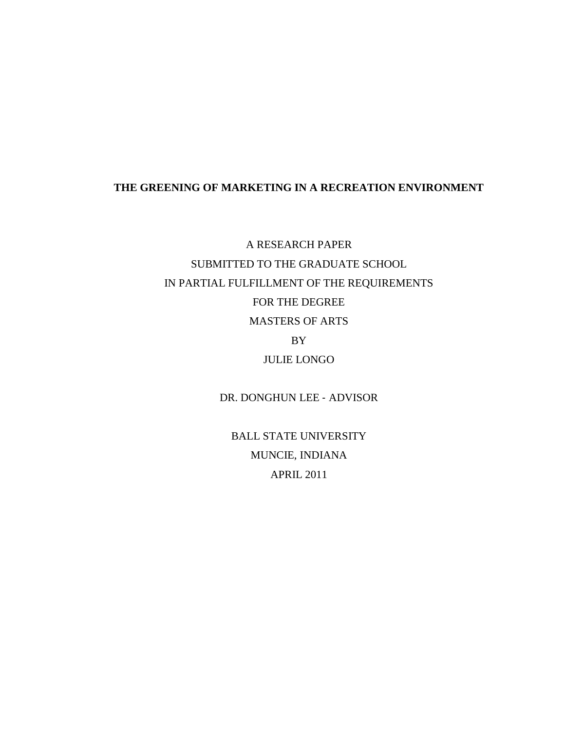## **THE GREENING OF MARKETING IN A RECREATION ENVIRONMENT**

A RESEARCH PAPER SUBMITTED TO THE GRADUATE SCHOOL IN PARTIAL FULFILLMENT OF THE REQUIREMENTS FOR THE DEGREE MASTERS OF ARTS BY JULIE LONGO

DR. DONGHUN LEE ‐ ADVISOR

BALL STATE UNIVERSITY MUNCIE, INDIANA APRIL 2011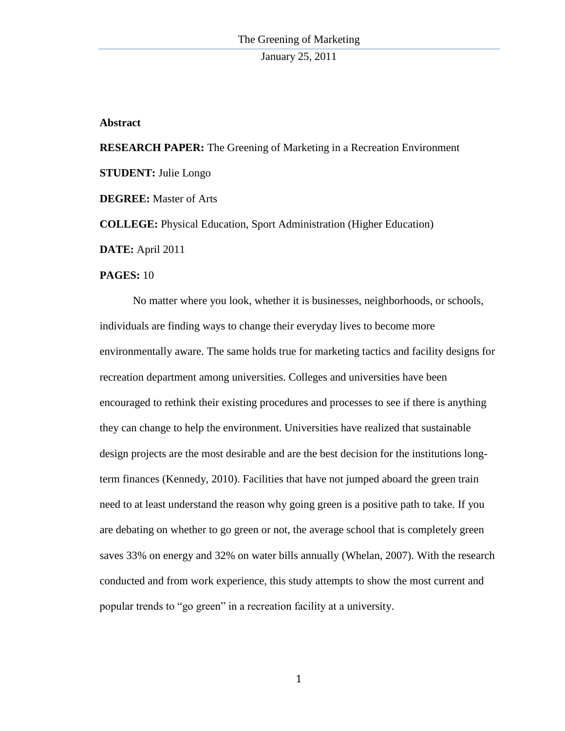## **Abstract**

**RESEARCH PAPER:** The Greening of Marketing in a Recreation Environment **STUDENT:** Julie Longo **DEGREE:** Master of Arts **COLLEGE:** Physical Education, Sport Administration (Higher Education) **DATE:** April 2011

## **PAGES:** 10

No matter where you look, whether it is businesses, neighborhoods, or schools, individuals are finding ways to change their everyday lives to become more environmentally aware. The same holds true for marketing tactics and facility designs for recreation department among universities. Colleges and universities have been encouraged to rethink their existing procedures and processes to see if there is anything they can change to help the environment. Universities have realized that sustainable design projects are the most desirable and are the best decision for the institutions longterm finances (Kennedy, 2010). Facilities that have not jumped aboard the green train need to at least understand the reason why going green is a positive path to take. If you are debating on whether to go green or not, the average school that is completely green saves 33% on energy and 32% on water bills annually (Whelan, 2007). With the research conducted and from work experience, this study attempts to show the most current and popular trends to "go green" in a recreation facility at a university.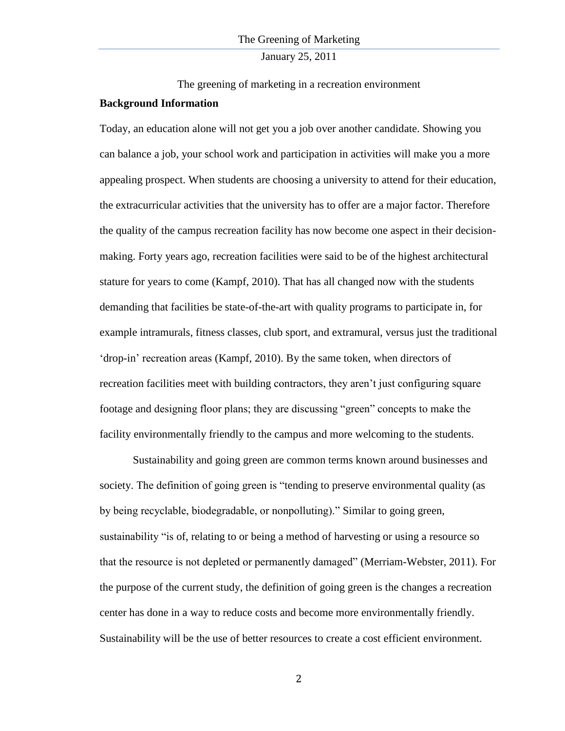January 25, 2011

The greening of marketing in a recreation environment **Background Information**

Today, an education alone will not get you a job over another candidate. Showing you can balance a job, your school work and participation in activities will make you a more appealing prospect. When students are choosing a university to attend for their education, the extracurricular activities that the university has to offer are a major factor. Therefore the quality of the campus recreation facility has now become one aspect in their decisionmaking. Forty years ago, recreation facilities were said to be of the highest architectural stature for years to come (Kampf, 2010). That has all changed now with the students demanding that facilities be state-of-the-art with quality programs to participate in, for example intramurals, fitness classes, club sport, and extramural, versus just the traditional "drop-in" recreation areas (Kampf, 2010). By the same token, when directors of recreation facilities meet with building contractors, they aren"t just configuring square footage and designing floor plans; they are discussing "green" concepts to make the facility environmentally friendly to the campus and more welcoming to the students.

Sustainability and going green are common terms known around businesses and society. The definition of going green is "tending to preserve environmental quality (as by being recyclable, biodegradable, or nonpolluting)." Similar to going green, sustainability "is of, relating to or being a method of harvesting or using a resource so that the resource is not depleted or permanently damaged" (Merriam-Webster, 2011). For the purpose of the current study, the definition of going green is the changes a recreation center has done in a way to reduce costs and become more environmentally friendly. Sustainability will be the use of better resources to create a cost efficient environment.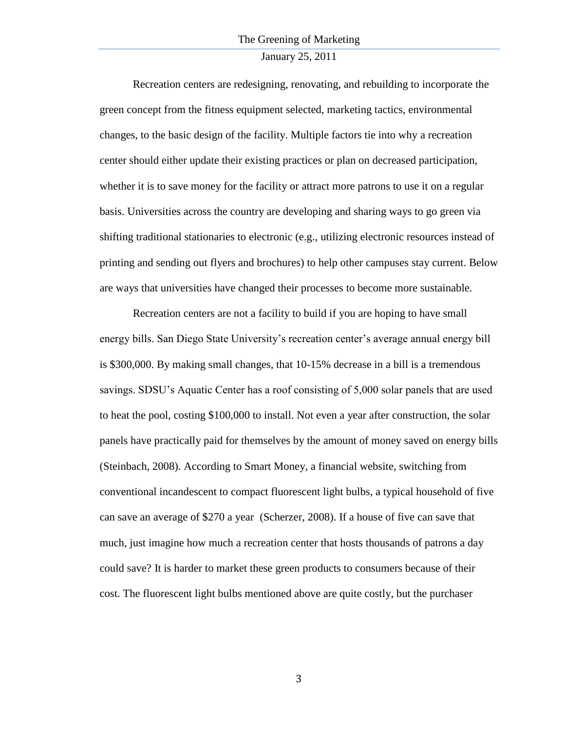## January 25, 2011

Recreation centers are redesigning, renovating, and rebuilding to incorporate the green concept from the fitness equipment selected, marketing tactics, environmental changes, to the basic design of the facility. Multiple factors tie into why a recreation center should either update their existing practices or plan on decreased participation, whether it is to save money for the facility or attract more patrons to use it on a regular basis. Universities across the country are developing and sharing ways to go green via shifting traditional stationaries to electronic (e.g., utilizing electronic resources instead of printing and sending out flyers and brochures) to help other campuses stay current. Below are ways that universities have changed their processes to become more sustainable.

Recreation centers are not a facility to build if you are hoping to have small energy bills. San Diego State University"s recreation center"s average annual energy bill is \$300,000. By making small changes, that 10-15% decrease in a bill is a tremendous savings. SDSU's Aquatic Center has a roof consisting of 5,000 solar panels that are used to heat the pool, costing \$100,000 to install. Not even a year after construction, the solar panels have practically paid for themselves by the amount of money saved on energy bills (Steinbach, 2008). According to Smart Money, a financial website, switching from conventional incandescent to compact fluorescent light bulbs, a typical household of five can save an average of \$270 a year (Scherzer, 2008). If a house of five can save that much, just imagine how much a recreation center that hosts thousands of patrons a day could save? It is harder to market these green products to consumers because of their cost. The fluorescent light bulbs mentioned above are quite costly, but the purchaser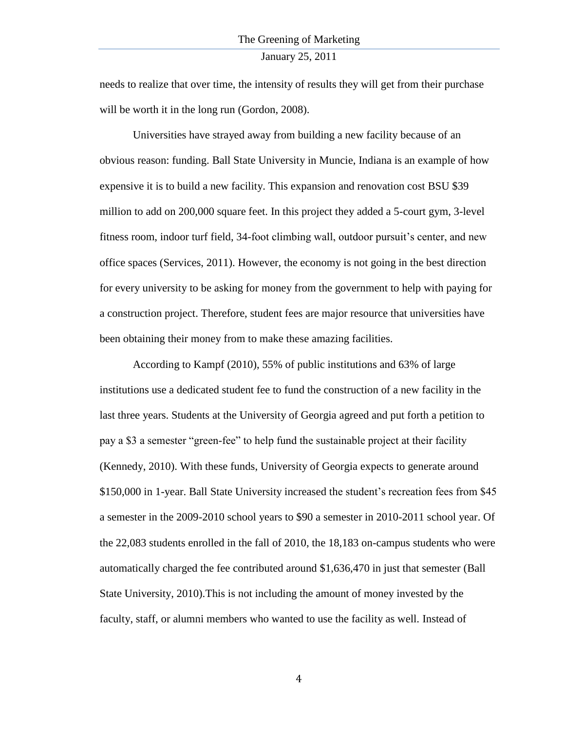needs to realize that over time, the intensity of results they will get from their purchase will be worth it in the long run (Gordon, 2008).

Universities have strayed away from building a new facility because of an obvious reason: funding. Ball State University in Muncie, Indiana is an example of how expensive it is to build a new facility. This expansion and renovation cost BSU \$39 million to add on 200,000 square feet. In this project they added a 5-court gym, 3-level fitness room, indoor turf field, 34-foot climbing wall, outdoor pursuit's center, and new office spaces (Services, 2011). However, the economy is not going in the best direction for every university to be asking for money from the government to help with paying for a construction project. Therefore, student fees are major resource that universities have been obtaining their money from to make these amazing facilities.

According to Kampf (2010), 55% of public institutions and 63% of large institutions use a dedicated student fee to fund the construction of a new facility in the last three years. Students at the University of Georgia agreed and put forth a petition to pay a \$3 a semester "green-fee" to help fund the sustainable project at their facility (Kennedy, 2010). With these funds, University of Georgia expects to generate around \$150,000 in 1-year. Ball State University increased the student's recreation fees from \$45 a semester in the 2009-2010 school years to \$90 a semester in 2010-2011 school year. Of the 22,083 students enrolled in the fall of 2010, the 18,183 on-campus students who were automatically charged the fee contributed around \$1,636,470 in just that semester (Ball State University, 2010).This is not including the amount of money invested by the faculty, staff, or alumni members who wanted to use the facility as well. Instead of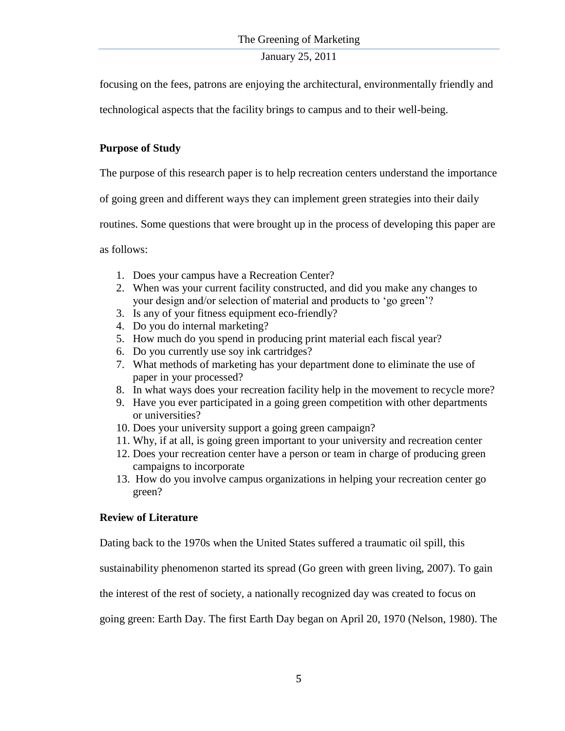focusing on the fees, patrons are enjoying the architectural, environmentally friendly and

technological aspects that the facility brings to campus and to their well-being.

# **Purpose of Study**

The purpose of this research paper is to help recreation centers understand the importance

of going green and different ways they can implement green strategies into their daily

routines. Some questions that were brought up in the process of developing this paper are

as follows:

- 1. Does your campus have a Recreation Center?
- 2. When was your current facility constructed, and did you make any changes to your design and/or selection of material and products to "go green"?
- 3. Is any of your fitness equipment eco-friendly?
- 4. Do you do internal marketing?
- 5. How much do you spend in producing print material each fiscal year?
- 6. Do you currently use soy ink cartridges?
- 7. What methods of marketing has your department done to eliminate the use of paper in your processed?
- 8. In what ways does your recreation facility help in the movement to recycle more?
- 9. Have you ever participated in a going green competition with other departments or universities?
- 10. Does your university support a going green campaign?
- 11. Why, if at all, is going green important to your university and recreation center
- 12. Does your recreation center have a person or team in charge of producing green campaigns to incorporate
- 13. How do you involve campus organizations in helping your recreation center go green?

# **Review of Literature**

Dating back to the 1970s when the United States suffered a traumatic oil spill, this

sustainability phenomenon started its spread (Go green with green living, 2007). To gain

the interest of the rest of society, a nationally recognized day was created to focus on

going green: Earth Day. The first Earth Day began on April 20, 1970 (Nelson, 1980). The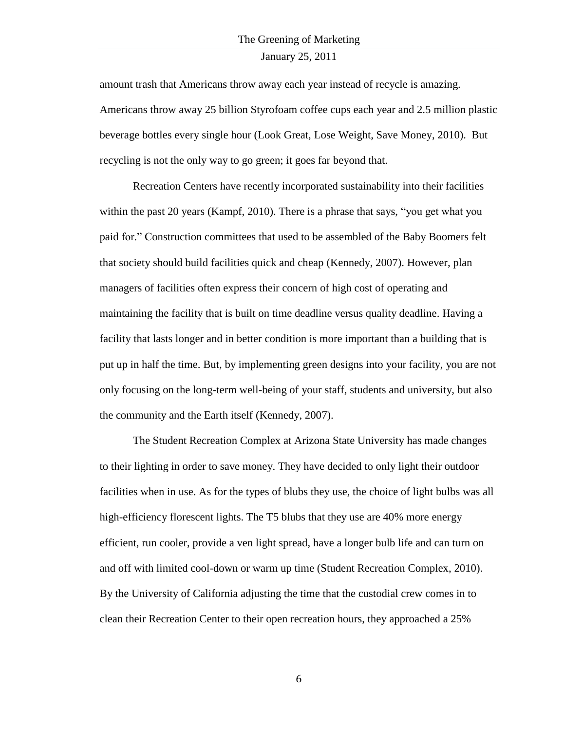## January 25, 2011

amount trash that Americans throw away each year instead of recycle is amazing. Americans throw away 25 billion Styrofoam coffee cups each year and 2.5 million plastic beverage bottles every single hour (Look Great, Lose Weight, Save Money, 2010). But recycling is not the only way to go green; it goes far beyond that.

Recreation Centers have recently incorporated sustainability into their facilities within the past 20 years (Kampf, 2010). There is a phrase that says, "you get what you paid for." Construction committees that used to be assembled of the Baby Boomers felt that society should build facilities quick and cheap (Kennedy, 2007). However, plan managers of facilities often express their concern of high cost of operating and maintaining the facility that is built on time deadline versus quality deadline. Having a facility that lasts longer and in better condition is more important than a building that is put up in half the time. But, by implementing green designs into your facility, you are not only focusing on the long-term well-being of your staff, students and university, but also the community and the Earth itself (Kennedy, 2007).

The Student Recreation Complex at Arizona State University has made changes to their lighting in order to save money. They have decided to only light their outdoor facilities when in use. As for the types of blubs they use, the choice of light bulbs was all high-efficiency florescent lights. The T5 blubs that they use are 40% more energy efficient, run cooler, provide a ven light spread, have a longer bulb life and can turn on and off with limited cool-down or warm up time (Student Recreation Complex, 2010). By the University of California adjusting the time that the custodial crew comes in to clean their Recreation Center to their open recreation hours, they approached a 25%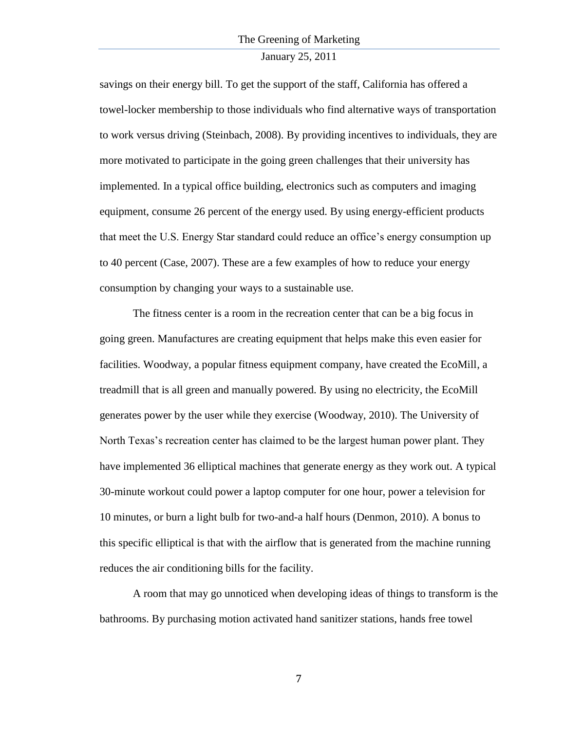## January 25, 2011

savings on their energy bill. To get the support of the staff, California has offered a towel-locker membership to those individuals who find alternative ways of transportation to work versus driving (Steinbach, 2008). By providing incentives to individuals, they are more motivated to participate in the going green challenges that their university has implemented. In a typical office building, electronics such as computers and imaging equipment, consume 26 percent of the energy used. By using energy-efficient products that meet the U.S. Energy Star standard could reduce an office's energy consumption up to 40 percent (Case, 2007). These are a few examples of how to reduce your energy consumption by changing your ways to a sustainable use.

The fitness center is a room in the recreation center that can be a big focus in going green. Manufactures are creating equipment that helps make this even easier for facilities. Woodway, a popular fitness equipment company, have created the EcoMill, a treadmill that is all green and manually powered. By using no electricity, the EcoMill generates power by the user while they exercise (Woodway, 2010). The University of North Texas's recreation center has claimed to be the largest human power plant. They have implemented 36 elliptical machines that generate energy as they work out. A typical 30-minute workout could power a laptop computer for one hour, power a television for 10 minutes, or burn a light bulb for two-and-a half hours (Denmon, 2010). A bonus to this specific elliptical is that with the airflow that is generated from the machine running reduces the air conditioning bills for the facility.

A room that may go unnoticed when developing ideas of things to transform is the bathrooms. By purchasing motion activated hand sanitizer stations, hands free towel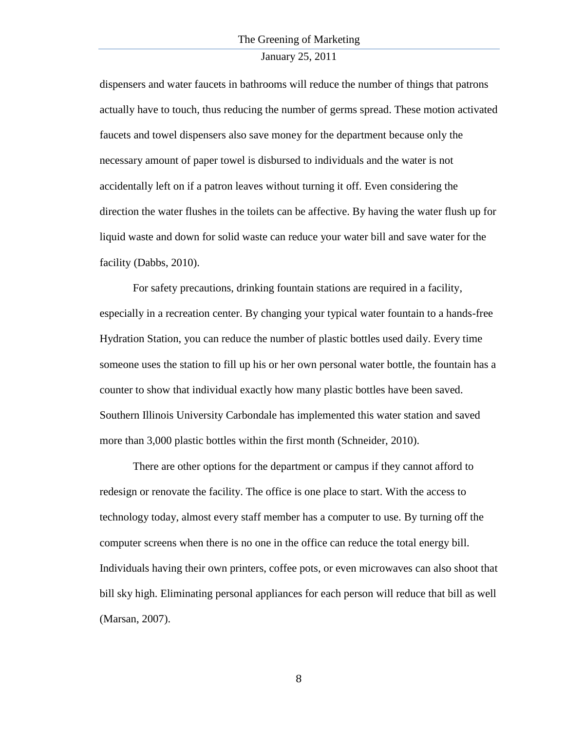## January 25, 2011

dispensers and water faucets in bathrooms will reduce the number of things that patrons actually have to touch, thus reducing the number of germs spread. These motion activated faucets and towel dispensers also save money for the department because only the necessary amount of paper towel is disbursed to individuals and the water is not accidentally left on if a patron leaves without turning it off. Even considering the direction the water flushes in the toilets can be affective. By having the water flush up for liquid waste and down for solid waste can reduce your water bill and save water for the facility (Dabbs, 2010).

For safety precautions, drinking fountain stations are required in a facility, especially in a recreation center. By changing your typical water fountain to a hands-free Hydration Station, you can reduce the number of plastic bottles used daily. Every time someone uses the station to fill up his or her own personal water bottle, the fountain has a counter to show that individual exactly how many plastic bottles have been saved. Southern Illinois University Carbondale has implemented this water station and saved more than 3,000 plastic bottles within the first month (Schneider, 2010).

There are other options for the department or campus if they cannot afford to redesign or renovate the facility. The office is one place to start. With the access to technology today, almost every staff member has a computer to use. By turning off the computer screens when there is no one in the office can reduce the total energy bill. Individuals having their own printers, coffee pots, or even microwaves can also shoot that bill sky high. Eliminating personal appliances for each person will reduce that bill as well (Marsan, 2007).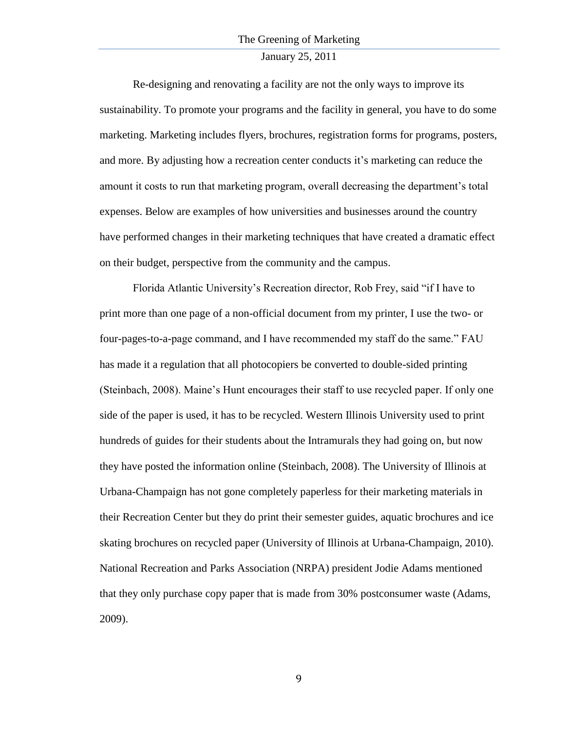## January 25, 2011

Re-designing and renovating a facility are not the only ways to improve its sustainability. To promote your programs and the facility in general, you have to do some marketing. Marketing includes flyers, brochures, registration forms for programs, posters, and more. By adjusting how a recreation center conducts it"s marketing can reduce the amount it costs to run that marketing program, overall decreasing the department"s total expenses. Below are examples of how universities and businesses around the country have performed changes in their marketing techniques that have created a dramatic effect on their budget, perspective from the community and the campus.

Florida Atlantic University"s Recreation director, Rob Frey, said "if I have to print more than one page of a non-official document from my printer, I use the two- or four-pages-to-a-page command, and I have recommended my staff do the same." FAU has made it a regulation that all photocopiers be converted to double-sided printing (Steinbach, 2008). Maine"s Hunt encourages their staff to use recycled paper. If only one side of the paper is used, it has to be recycled. Western Illinois University used to print hundreds of guides for their students about the Intramurals they had going on, but now they have posted the information online (Steinbach, 2008). The University of Illinois at Urbana-Champaign has not gone completely paperless for their marketing materials in their Recreation Center but they do print their semester guides, aquatic brochures and ice skating brochures on recycled paper (University of Illinois at Urbana-Champaign, 2010). National Recreation and Parks Association (NRPA) president Jodie Adams mentioned that they only purchase copy paper that is made from 30% postconsumer waste (Adams, 2009).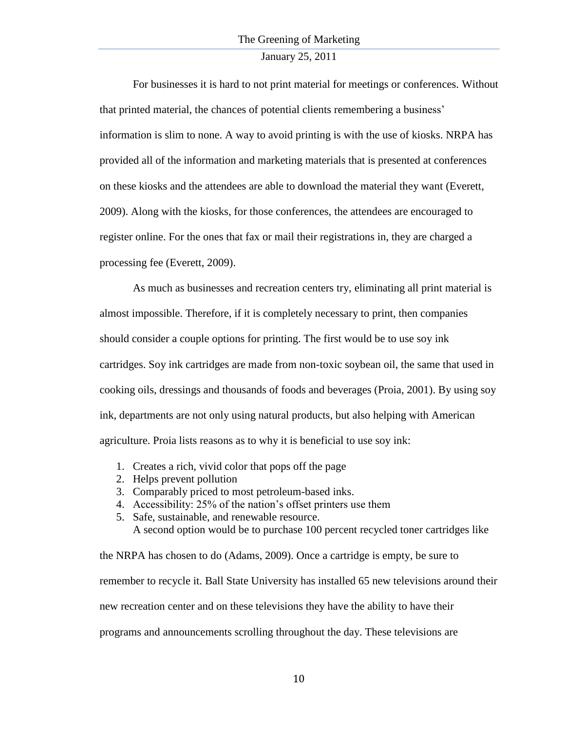## January 25, 2011

For businesses it is hard to not print material for meetings or conferences. Without that printed material, the chances of potential clients remembering a business" information is slim to none. A way to avoid printing is with the use of kiosks. NRPA has provided all of the information and marketing materials that is presented at conferences on these kiosks and the attendees are able to download the material they want (Everett, 2009). Along with the kiosks, for those conferences, the attendees are encouraged to register online. For the ones that fax or mail their registrations in, they are charged a processing fee (Everett, 2009).

As much as businesses and recreation centers try, eliminating all print material is almost impossible. Therefore, if it is completely necessary to print, then companies should consider a couple options for printing. The first would be to use soy ink cartridges. Soy ink cartridges are made from non-toxic soybean oil, the same that used in cooking oils, dressings and thousands of foods and beverages (Proia, 2001). By using soy ink, departments are not only using natural products, but also helping with American agriculture. Proia lists reasons as to why it is beneficial to use soy ink:

- 1. Creates a rich, vivid color that pops off the page
- 2. Helps prevent pollution
- 3. Comparably priced to most petroleum-based inks.
- 4. Accessibility: 25% of the nation"s offset printers use them
- 5. Safe, sustainable, and renewable resource. A second option would be to purchase 100 percent recycled toner cartridges like

the NRPA has chosen to do (Adams, 2009). Once a cartridge is empty, be sure to remember to recycle it. Ball State University has installed 65 new televisions around their new recreation center and on these televisions they have the ability to have their programs and announcements scrolling throughout the day. These televisions are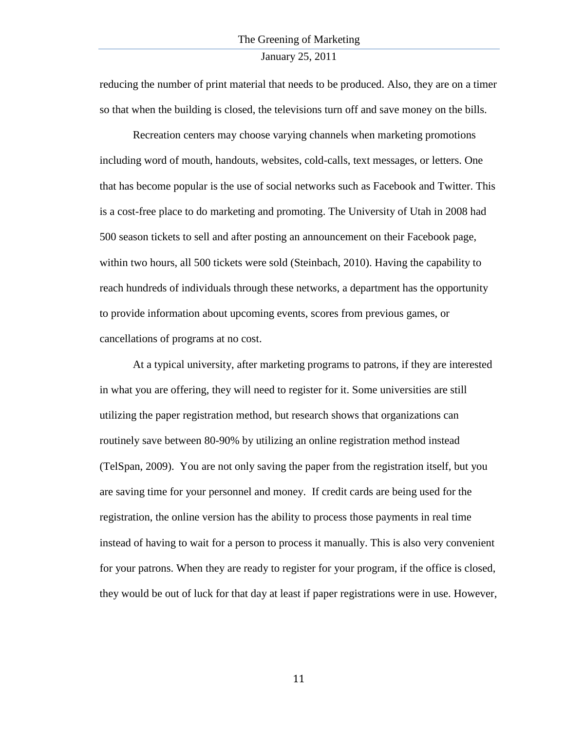reducing the number of print material that needs to be produced. Also, they are on a timer so that when the building is closed, the televisions turn off and save money on the bills.

Recreation centers may choose varying channels when marketing promotions including word of mouth, handouts, websites, cold-calls, text messages, or letters. One that has become popular is the use of social networks such as Facebook and Twitter. This is a cost-free place to do marketing and promoting. The University of Utah in 2008 had 500 season tickets to sell and after posting an announcement on their Facebook page, within two hours, all 500 tickets were sold (Steinbach, 2010). Having the capability to reach hundreds of individuals through these networks, a department has the opportunity to provide information about upcoming events, scores from previous games, or cancellations of programs at no cost.

At a typical university, after marketing programs to patrons, if they are interested in what you are offering, they will need to register for it. Some universities are still utilizing the paper registration method, but research shows that organizations can routinely save between 80-90% by utilizing an online registration method instead (TelSpan, 2009). You are not only saving the paper from the registration itself, but you are saving time for your personnel and money. If credit cards are being used for the registration, the online version has the ability to process those payments in real time instead of having to wait for a person to process it manually. This is also very convenient for your patrons. When they are ready to register for your program, if the office is closed, they would be out of luck for that day at least if paper registrations were in use. However,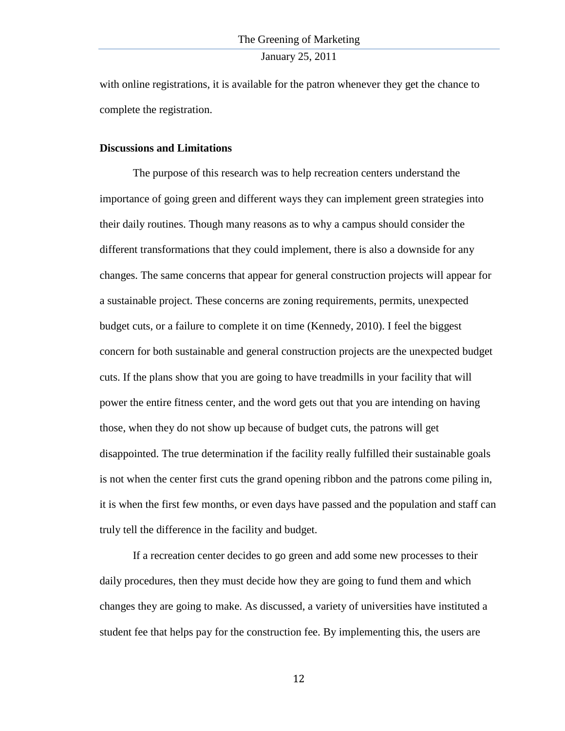with online registrations, it is available for the patron whenever they get the chance to complete the registration.

#### **Discussions and Limitations**

The purpose of this research was to help recreation centers understand the importance of going green and different ways they can implement green strategies into their daily routines. Though many reasons as to why a campus should consider the different transformations that they could implement, there is also a downside for any changes. The same concerns that appear for general construction projects will appear for a sustainable project. These concerns are zoning requirements, permits, unexpected budget cuts, or a failure to complete it on time (Kennedy, 2010). I feel the biggest concern for both sustainable and general construction projects are the unexpected budget cuts. If the plans show that you are going to have treadmills in your facility that will power the entire fitness center, and the word gets out that you are intending on having those, when they do not show up because of budget cuts, the patrons will get disappointed. The true determination if the facility really fulfilled their sustainable goals is not when the center first cuts the grand opening ribbon and the patrons come piling in, it is when the first few months, or even days have passed and the population and staff can truly tell the difference in the facility and budget.

If a recreation center decides to go green and add some new processes to their daily procedures, then they must decide how they are going to fund them and which changes they are going to make. As discussed, a variety of universities have instituted a student fee that helps pay for the construction fee. By implementing this, the users are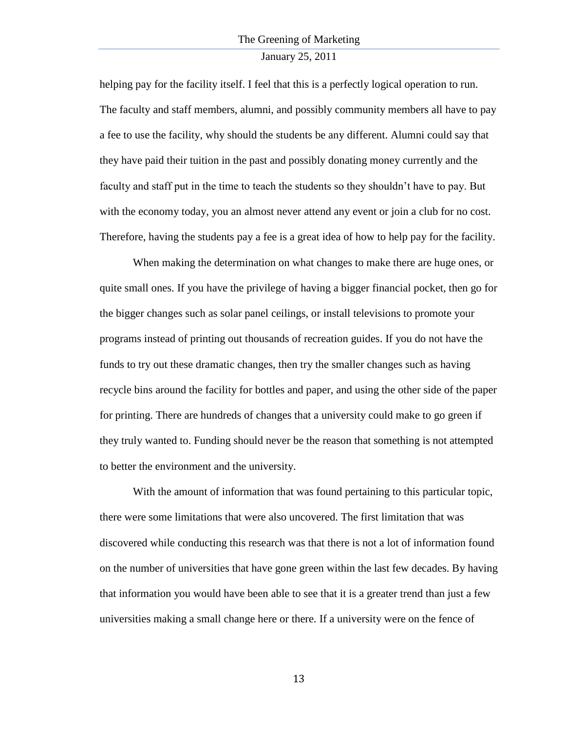#### January 25, 2011

helping pay for the facility itself. I feel that this is a perfectly logical operation to run. The faculty and staff members, alumni, and possibly community members all have to pay a fee to use the facility, why should the students be any different. Alumni could say that they have paid their tuition in the past and possibly donating money currently and the faculty and staff put in the time to teach the students so they shouldn"t have to pay. But with the economy today, you an almost never attend any event or join a club for no cost. Therefore, having the students pay a fee is a great idea of how to help pay for the facility.

When making the determination on what changes to make there are huge ones, or quite small ones. If you have the privilege of having a bigger financial pocket, then go for the bigger changes such as solar panel ceilings, or install televisions to promote your programs instead of printing out thousands of recreation guides. If you do not have the funds to try out these dramatic changes, then try the smaller changes such as having recycle bins around the facility for bottles and paper, and using the other side of the paper for printing. There are hundreds of changes that a university could make to go green if they truly wanted to. Funding should never be the reason that something is not attempted to better the environment and the university.

With the amount of information that was found pertaining to this particular topic, there were some limitations that were also uncovered. The first limitation that was discovered while conducting this research was that there is not a lot of information found on the number of universities that have gone green within the last few decades. By having that information you would have been able to see that it is a greater trend than just a few universities making a small change here or there. If a university were on the fence of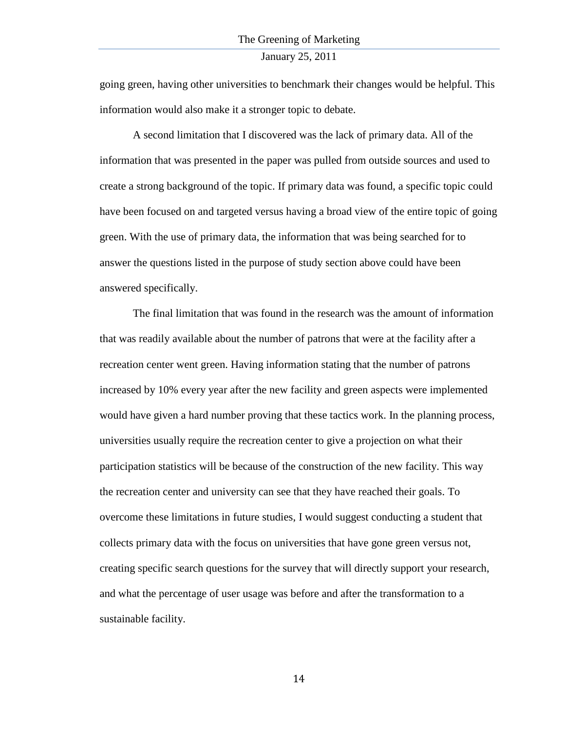going green, having other universities to benchmark their changes would be helpful. This information would also make it a stronger topic to debate.

A second limitation that I discovered was the lack of primary data. All of the information that was presented in the paper was pulled from outside sources and used to create a strong background of the topic. If primary data was found, a specific topic could have been focused on and targeted versus having a broad view of the entire topic of going green. With the use of primary data, the information that was being searched for to answer the questions listed in the purpose of study section above could have been answered specifically.

The final limitation that was found in the research was the amount of information that was readily available about the number of patrons that were at the facility after a recreation center went green. Having information stating that the number of patrons increased by 10% every year after the new facility and green aspects were implemented would have given a hard number proving that these tactics work. In the planning process, universities usually require the recreation center to give a projection on what their participation statistics will be because of the construction of the new facility. This way the recreation center and university can see that they have reached their goals. To overcome these limitations in future studies, I would suggest conducting a student that collects primary data with the focus on universities that have gone green versus not, creating specific search questions for the survey that will directly support your research, and what the percentage of user usage was before and after the transformation to a sustainable facility.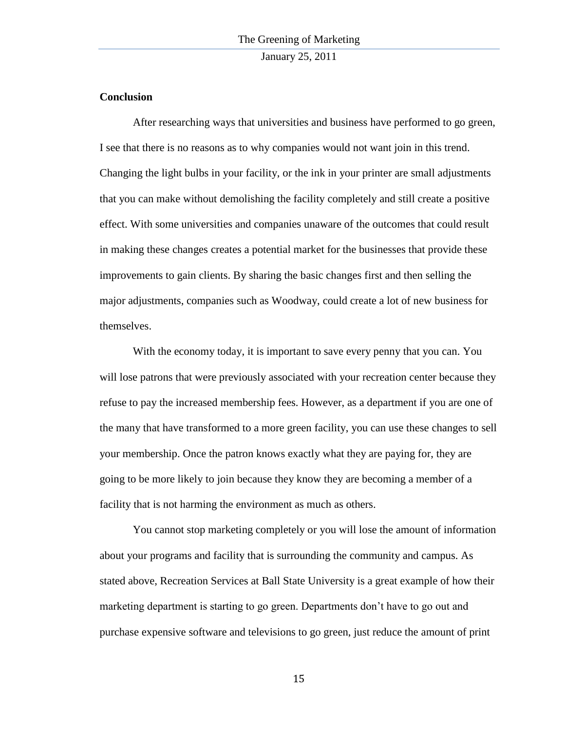## **Conclusion**

After researching ways that universities and business have performed to go green, I see that there is no reasons as to why companies would not want join in this trend. Changing the light bulbs in your facility, or the ink in your printer are small adjustments that you can make without demolishing the facility completely and still create a positive effect. With some universities and companies unaware of the outcomes that could result in making these changes creates a potential market for the businesses that provide these improvements to gain clients. By sharing the basic changes first and then selling the major adjustments, companies such as Woodway, could create a lot of new business for themselves.

With the economy today, it is important to save every penny that you can. You will lose patrons that were previously associated with your recreation center because they refuse to pay the increased membership fees. However, as a department if you are one of the many that have transformed to a more green facility, you can use these changes to sell your membership. Once the patron knows exactly what they are paying for, they are going to be more likely to join because they know they are becoming a member of a facility that is not harming the environment as much as others.

You cannot stop marketing completely or you will lose the amount of information about your programs and facility that is surrounding the community and campus. As stated above, Recreation Services at Ball State University is a great example of how their marketing department is starting to go green. Departments don"t have to go out and purchase expensive software and televisions to go green, just reduce the amount of print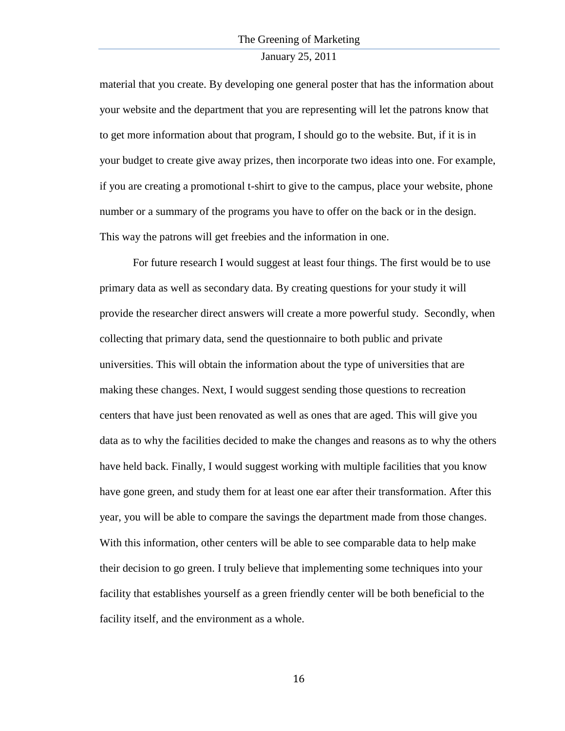#### January 25, 2011

material that you create. By developing one general poster that has the information about your website and the department that you are representing will let the patrons know that to get more information about that program, I should go to the website. But, if it is in your budget to create give away prizes, then incorporate two ideas into one. For example, if you are creating a promotional t-shirt to give to the campus, place your website, phone number or a summary of the programs you have to offer on the back or in the design. This way the patrons will get freebies and the information in one.

For future research I would suggest at least four things. The first would be to use primary data as well as secondary data. By creating questions for your study it will provide the researcher direct answers will create a more powerful study. Secondly, when collecting that primary data, send the questionnaire to both public and private universities. This will obtain the information about the type of universities that are making these changes. Next, I would suggest sending those questions to recreation centers that have just been renovated as well as ones that are aged. This will give you data as to why the facilities decided to make the changes and reasons as to why the others have held back. Finally, I would suggest working with multiple facilities that you know have gone green, and study them for at least one ear after their transformation. After this year, you will be able to compare the savings the department made from those changes. With this information, other centers will be able to see comparable data to help make their decision to go green. I truly believe that implementing some techniques into your facility that establishes yourself as a green friendly center will be both beneficial to the facility itself, and the environment as a whole.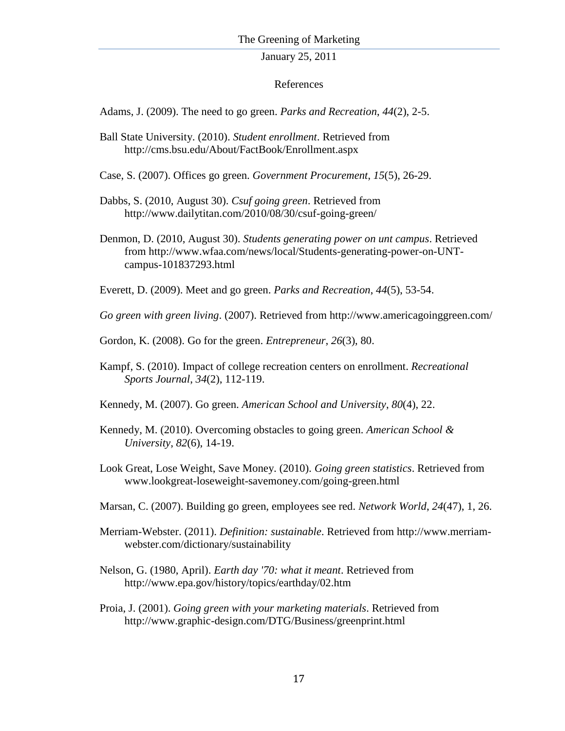## References

Adams, J. (2009). The need to go green. *Parks and Recreation*, *44*(2), 2-5.

- Ball State University. (2010). *Student enrollment*. Retrieved from http://cms.bsu.edu/About/FactBook/Enrollment.aspx
- Case, S. (2007). Offices go green. *Government Procurement*, *15*(5), 26-29.
- Dabbs, S. (2010, August 30). *Csuf going green*. Retrieved from http://www.dailytitan.com/2010/08/30/csuf-going-green/
- Denmon, D. (2010, August 30). *Students generating power on unt campus*. Retrieved from http://www.wfaa.com/news/local/Students-generating-power-on-UNTcampus-101837293.html

Everett, D. (2009). Meet and go green. *Parks and Recreation*, *44*(5), 53-54.

*Go green with green living*. (2007). Retrieved from http://www.americagoinggreen.com/

- Gordon, K. (2008). Go for the green. *Entrepreneur*, *26*(3), 80.
- Kampf, S. (2010). Impact of college recreation centers on enrollment. *Recreational Sports Journal*, *34*(2), 112-119.
- Kennedy, M. (2007). Go green. *American School and University*, *80*(4), 22.
- Kennedy, M. (2010). Overcoming obstacles to going green. *American School & University*, *82*(6), 14-19.
- Look Great, Lose Weight, Save Money. (2010). *Going green statistics*. Retrieved from www.lookgreat-loseweight-savemoney.com/going-green.html
- Marsan, C. (2007). Building go green, employees see red. *Network World*, *24*(47), 1, 26.
- Merriam-Webster. (2011). *Definition: sustainable*. Retrieved from http://www.merriamwebster.com/dictionary/sustainability
- Nelson, G. (1980, April). *Earth day '70: what it meant*. Retrieved from http://www.epa.gov/history/topics/earthday/02.htm
- Proia, J. (2001). *Going green with your marketing materials*. Retrieved from http://www.graphic-design.com/DTG/Business/greenprint.html